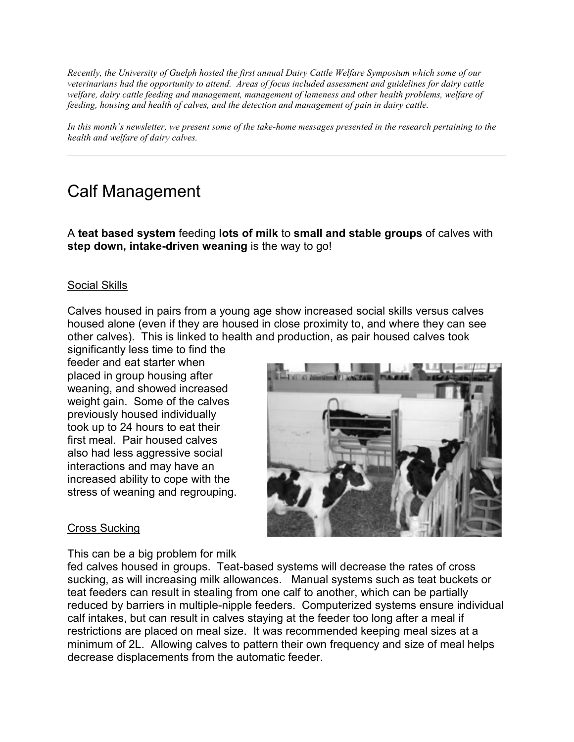*Recently, the University of Guelph hosted the first annual Dairy Cattle Welfare Symposium which some of our veterinarians had the opportunity to attend. Areas of focus included assessment and guidelines for dairy cattle welfare, dairy cattle feeding and management, management of lameness and other health problems, welfare of feeding, housing and health of calves, and the detection and management of pain in dairy cattle.* 

*In this month's newsletter, we present some of the take-home messages presented in the research pertaining to the health and welfare of dairy calves.* 

 $\_$  , and the contribution of the contribution of  $\mathcal{L}_1$  , and  $\mathcal{L}_2$  , and  $\mathcal{L}_3$  , and  $\mathcal{L}_4$  , and  $\mathcal{L}_5$ 

# Calf Management

A **teat based system** feeding **lots of milk** to **small and stable groups** of calves with **step down, intake-driven weaning** is the way to go!

## Social Skills

Calves housed in pairs from a young age show increased social skills versus calves housed alone (even if they are housed in close proximity to, and where they can see other calves). This is linked to health and production, as pair housed calves took

significantly less time to find the feeder and eat starter when placed in group housing after weaning, and showed increased weight gain. Some of the calves previously housed individually took up to 24 hours to eat their first meal. Pair housed calves also had less aggressive social interactions and may have an increased ability to cope with the stress of weaning and regrouping.



## Cross Sucking

This can be a big problem for milk

fed calves housed in groups. Teat-based systems will decrease the rates of cross sucking, as will increasing milk allowances. Manual systems such as teat buckets or teat feeders can result in stealing from one calf to another, which can be partially reduced by barriers in multiple-nipple feeders. Computerized systems ensure individual calf intakes, but can result in calves staying at the feeder too long after a meal if restrictions are placed on meal size. It was recommended keeping meal sizes at a minimum of 2L. Allowing calves to pattern their own frequency and size of meal helps decrease displacements from the automatic feeder.